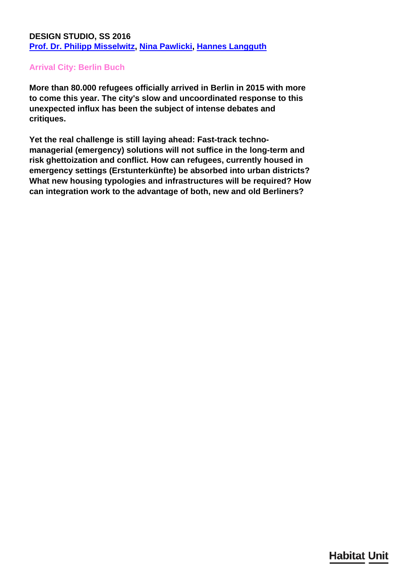## **DESIGN STUDIO, SS 2016 [Prof. Dr. Philipp Misselwitz,](/en/team/philipp-misselwitz/) [Nina Pawlicki](/en/team/nina-pawlicki/), [Hannes Langguth](/en/team/hannes-langguth/)**

## **Arrival City: Berlin Buch**

**More than 80.000 refugees officially arrived in Berlin in 2015 with more to come this year. The city's slow and uncoordinated response to this unexpected influx has been the subject of intense debates and critiques.**

**Yet the real challenge is still laying ahead: Fast-track technomanagerial (emergency) solutions will not suffice in the long-term and risk ghettoization and conflict. How can refugees, currently housed in emergency settings (Erstunterkünfte) be absorbed into urban districts? What new housing typologies and infrastructures will be required? How can integration work to the advantage of both, new and old Berliners?**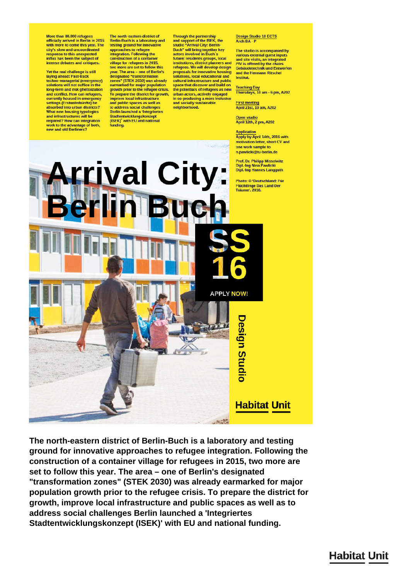More than 80,000 refugees<br>officially arrived in Berlin in 2015<br>with more to come this year. The city's slow and uncoordinated<br>response to this unexpected<br>influx has been the subject of intense debates and critiques.

Yet the real challenge is still laving ahead: Fast-track techno-managerial (emergency)<br>solutions will not suffice in the<br>long-term and risk ghettoization and conflict. How can refugees currently housed in emergency<br>settings (Erstunterkünfte) be absorbed into urban districts? **What new housing typologies** and infrastructures will be required? How can integration work to the advantage of both,<br>new and old Berliners?

The north-eastern district of Berlin-Buch is a laboratory and<br>testing ground for innovative approaches to refugee<br>integration. Following the<br>construction of a container village for refugees in 2015,<br>two more are set to follow this<br>year. The area – one of Berlin's designated "transformation zones" (STEK 2030) was already<br>earmarked for major population<br>growth prior to the refugee crisis. To prepare the district for growth,<br>improve local infrastructure<br>and public spaces as well as to address social challenges **Berlin launched a 'Integriertes Stadtentwicklungskonzept** (ISEK)' with EU and national funding

Through the partnership<br>and support of the ISEK, the<br>studio "Arrival City: Berlin-Buch" will bring together key<br>actors involved in Buch's<br>future: residents groups, local institutions, district planners and<br>refugees. We will develop design proposals for innovative housing solutions, local educational and cultural infrastructure and public space that discover and build on<br>the potentials of refugees as new urban actors, actively engaged<br>in co-producing a more inclusive<br>and socially sustainable neighborhood.

Design Studio 10 ECTS<br>Arch BA - P

The studio is accompanied by various external quest inputs and site visits, an integrated<br>PIV is offered by the chairs<br>Gebäudetechnik und Entwerfen and the Hermann Ritschel Institut

Teaching Day<br>Thursdays, 10 am - 6 pm, A202

**First meeting** April 21st. 10 am. A202

Open studio<br>April 12th, 2 pm, A202

**Application** Apply by April 14th, 2016 with motivation letter, short CV and one work sample to n.pawlicki@tu-berlin.de



The north-eastern district of Berlin-Buch is a laboratory and testing ground for innovative approaches to refugee integration. Following the construction of a container village for refugees in 2015, two more are set to follow this year. The area - one of Berlin's designated "transformation zones" (STEK 2030) was already earmarked for major population growth prior to the refugee crisis. To prepare the district for growth, improve local infrastructure and public spaces as well as to address social challenges Berlin launched a 'Integriertes Stadtentwicklungskonzept (ISEK)' with EU and national funding.